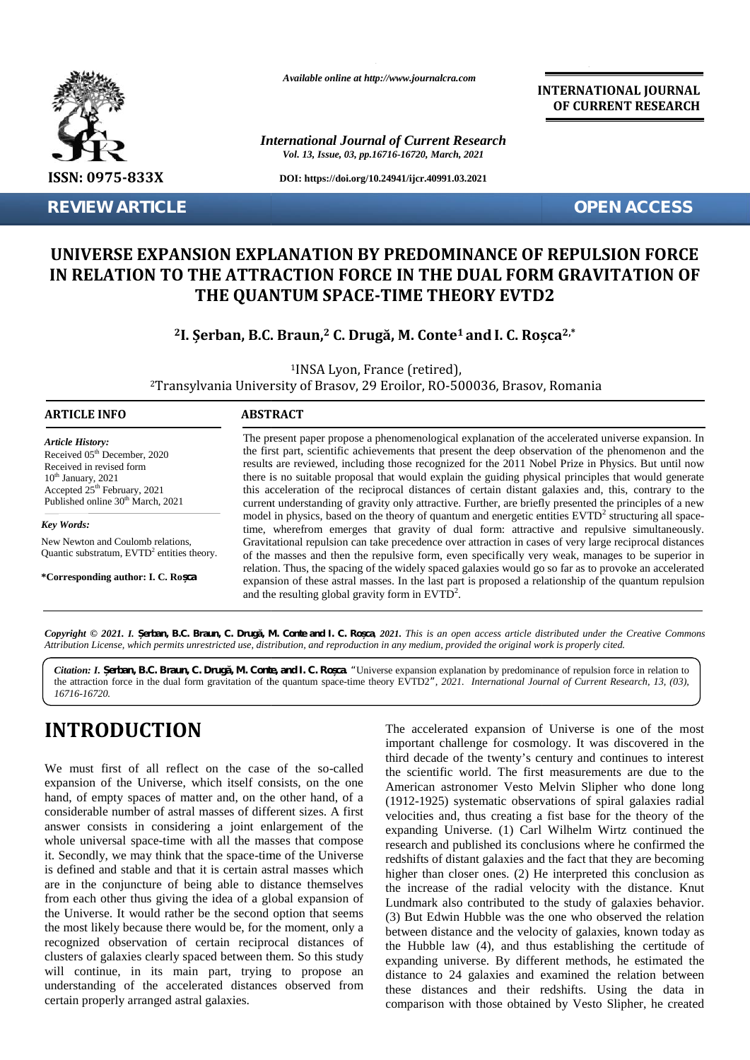

**REVIEW ARTICLE OPEN ACCESS**

*Available online at http://www.journalcra.com*

*International Journal of Current Research Vol. 13, Issue, 03, pp.16716-16720, March, 2021*

**DOI: https://doi.org/10.24941/ijcr.40991.03.2021**

**INTERNATIONAL JOURNAL OF CURRENT RESEARCH**

#### **UNIVERSE EXPANSION EXPLANATION BY PREDOMINANCE OF REPULSION FORCE** UNIVERSE EXPANSION EXPLANATION BY PREDOMINANCE OF REPULSION FORCE<br>IN RELATION TO THE ATTRACTION FORCE IN THE DUAL FORM GRAVITATION OF **THE QUANTUM SPACE-TIME THEORY EVTD2**

#### $^2$ I. Șerban, B.C. Braun,<sup>2</sup> C. Drugă, M. Conte<sup>1</sup> and I. C. Roșca<sup>2,\*</sup>

| <b>REVIEW ARTICLE</b>                                                                                                                                                                                                | <b>OPEN ACCESS</b>                                                                                                                                                                                                                                                                                                                                                                                                                                                                                                                                                                                                                           |
|----------------------------------------------------------------------------------------------------------------------------------------------------------------------------------------------------------------------|----------------------------------------------------------------------------------------------------------------------------------------------------------------------------------------------------------------------------------------------------------------------------------------------------------------------------------------------------------------------------------------------------------------------------------------------------------------------------------------------------------------------------------------------------------------------------------------------------------------------------------------------|
|                                                                                                                                                                                                                      | UNIVERSE EXPANSION EXPLANATION BY PREDOMINANCE OF REPULSION FORCE<br>IN RELATION TO THE ATTRACTION FORCE IN THE DUAL FORM GRAVITATION OF<br>THE QUANTUM SPACE-TIME THEORY EVTD2                                                                                                                                                                                                                                                                                                                                                                                                                                                              |
| <sup>2</sup> I. Şerban, B.C. Braun, <sup>2</sup> C. Drugă, M. Conte <sup>1</sup> and I. C. Roșca <sup>2,*</sup>                                                                                                      |                                                                                                                                                                                                                                                                                                                                                                                                                                                                                                                                                                                                                                              |
|                                                                                                                                                                                                                      | <sup>1</sup> INSA Lyon, France (retired),<br><sup>2</sup> Transylvania University of Brasov, 29 Eroilor, RO-500036, Brasov, Romania                                                                                                                                                                                                                                                                                                                                                                                                                                                                                                          |
| <b>ARTICLE INFO</b>                                                                                                                                                                                                  | <b>ABSTRACT</b>                                                                                                                                                                                                                                                                                                                                                                                                                                                                                                                                                                                                                              |
| <b>Article History:</b><br>Received 05 <sup>th</sup> December, 2020<br>Received in revised form<br>$10th$ January, 2021<br>Accepted 25 <sup>th</sup> February, 2021<br>Published online 30 <sup>th</sup> March, 2021 | The present paper propose a phenomenological explanation of the accelerated universe expansion. In<br>the first part, scientific achievements that present the deep observation of the phenomenon and the<br>results are reviewed, including those recognized for the 2011 Nobel Prize in Physics. But until now<br>there is no suitable proposal that would explain the guiding physical principles that would generate<br>this acceleration of the reciprocal distances of certain distant galaxies and, this, contrary to the<br>current understanding of gravity only attractive. Further, are briefly presented the principles of a new |
| Key Words:                                                                                                                                                                                                           | model in physics, based on the theory of quantum and energetic entities EVTD <sup>2</sup> structuring all space-<br>time, wherefrom emerges that gravity of dual form: attractive and repulsive simultaneously.                                                                                                                                                                                                                                                                                                                                                                                                                              |
| New Newton and Coulomb relations,<br>Quantic substratum, $EVTD2$ entities theory.                                                                                                                                    | Gravitational repulsion can take precedence over attraction in cases of very large reciprocal distances<br>of the masses and then the repulsive form, even specifically very weak, manages to be superior in                                                                                                                                                                                                                                                                                                                                                                                                                                 |
| *Corresponding author: I. C. Ro ca                                                                                                                                                                                   | relation. Thus, the spacing of the widely spaced galaxies would go so far as to provoke an accelerated<br>expansion of these astral masses. In the last part is proposed a relationship of the quantum repulsion<br>and the resulting global gravity form in $EVTD2$ .                                                                                                                                                                                                                                                                                                                                                                       |

Copyright © 2021. I. erban, B.C. Braun, C. Drug, M. Conte and I. C. Ro ca, 2021. This is an open access article distributed under the Creative Commons Attribution License, which permits unrestricted use, distribution, and reproduction in any medium, provided the original work is properly cited.

*Citation: I. erban, B.C. Braun, C. Drug, M. Conte, and I. C. Ro ca. "Universe expansion explanation by predominance of repulsion force in relation to* Citation: I. erban, B.C. Braun, C. Drug, M. Conte, and I. C. Ro ca. "Universe expansion explanation by predominance of repulsion force in relation to <br>the attraction force in the dual form gravitation of the quantum space-*16716-16720.*

# **INTRODUCTION INTRODUCTION**

We must first of all reflect on the case of the so-called expansion of the Universe, which itself consists, on the one hand, of empty spaces of matter and, on the other hand, of a considerable number of astral masses of different sizes. A first answer consists in considering a joint enlargement of the whole universal space-time with all the masses that compose it. Secondly, we may think that the space-time of the Universe is defined and stable and that it is certain astral masses which are in the conjuncture of being able to distance themselves from each other thus giving the idea of a global expansion of the Universe. It would rather be the second option that seems the most likely because there would be, for the moment, only a recognized observation of certain reciprocal distances of clusters of galaxies clearly spaced between them. So this study will continue, in its main part, trying to propose an understanding of the accelerated distances observed from certain properly arranged astral galaxies. certain We must first of all reflect on the case of the so-called<br>expansion of the Universe, which itself consists, on the one<br>hand, of empty spaces of matter and, on the other hand, of a<br>(1912-192<br>considerable number of astral ma Citation: *I. erban, B.C. Braun, C. Drug, M. Conte, and I. C. Ro ca.* "Universe expansion explanation the attraction force in the dual form gravitation of the quantum space-time theory EVTD2", 2021. *Inter*<br>
16716-16720.<br>

The accelerated expansion of Universe is one of the most The accelerated expansion of Universe is one of the most important challenge for cosmology. It was discovered in the third decade of the twenty's century and continues to interest the scientific world. The first measurements are due to the American astronomer Vesto Melvin Slipher who done long (1912-1925) systematic observations of spiral galaxies radial velocities and, thus creating a fist base for the theory of the expanding Universe. (1) Carl Wilhelm Wirtz continued the research and published its conclusions where he confirmed the redshifts of distant galaxies and the fact that they are becoming higher than closer ones. (2) He interpreted this conclusion as the increase of the radial velocity with the distance. Knut Lundmark also contributed to the study of galaxies behavior. (3) But Edwin Hubble was the one who observed the relation between distance and the velocity of galaxies, known today as the Hubble law (4), and thus establishing the certitude of expanding universe. By different methods, he estimated the distance to 24 galaxies and examined the relation between these distances and their redshifts. Using the data in comparison with those obtained by Vesto Slipher, he created Ielvin Slipher who done long<br>ations of spiral galaxies radial<br>fist base for the theory of the arch and published its conclusions where he confirmed the<br>hifts of distant galaxies and the fact that they are becoming<br>er than closer ones. (2) He interpreted this conclusion as<br>increase of the radial velocity with the di Edwin Hubble was the one who observed the relation<br>distance and the velocity of galaxies, known today as<br>ble law  $(4)$ , and thus establishing the certitude of and the first part, scientific antiversation that there become the best particle in the spectrum of the particle and the particle and the particle and the particle and the particle and the small apert in the same in the s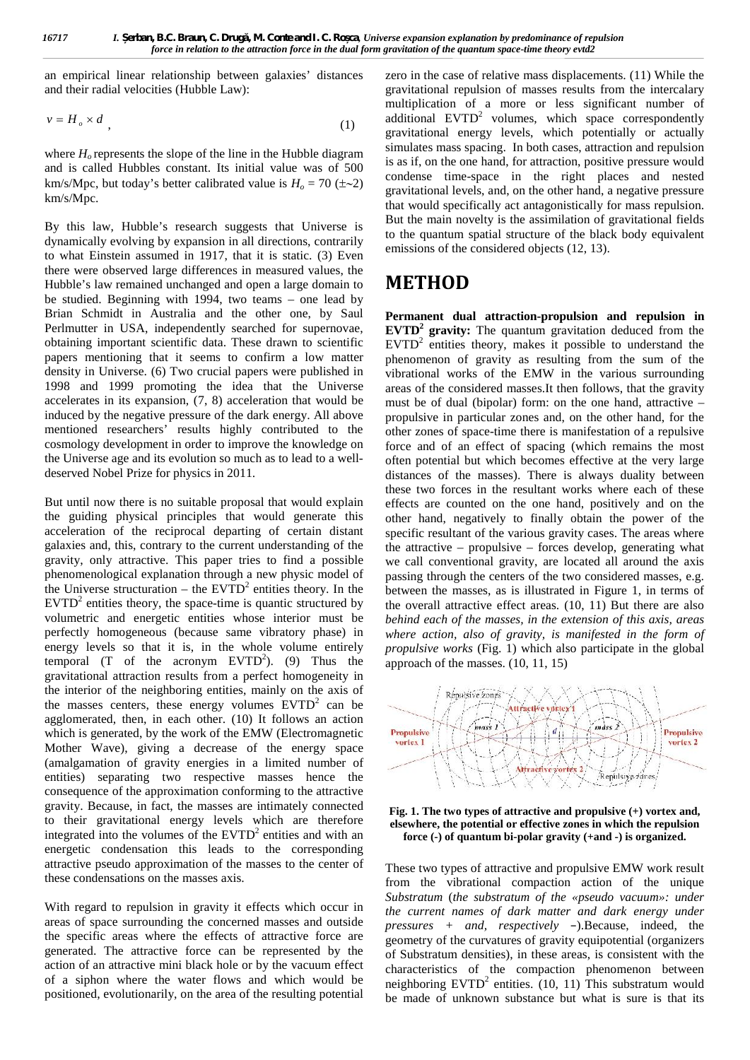an empirical linear relationship between galaxies' distances

$$
v = H_o \times d \tag{1}
$$

where  $H<sub>o</sub>$  represents the slope of the line in the Hubble diagram and is called Hubbles constant. Its initial value was of 500 km/s/Mpc, but today's better calibrated value is  $H_0 = 70 \ (\pm \sim 2)$ km/s/Mpc.

By this law, Hubble's research suggests that Universe is dynamically evolving by expansion in all directions, contrarily to what Einstein assumed in 1917, that it is static. (3) Even there were observed large differences in measured values, the Hubble's law remained unchanged and open a large domain to be studied. Beginning with 1994, two teams – one lead by Brian Schmidt in Australia and the other one, by Saul Perlmutter in USA, independently searched for supernovae, obtaining important scientific data. These drawn to scientific papers mentioning that it seems to confirm a low matter density in Universe. (6) Two crucial papers were published in 1998 and 1999 promoting the idea that the Universe accelerates in its expansion, (7, 8) acceleration that would be induced by the negative pressure of the dark energy. All above mentioned researchers' results highly contributed to the cosmology development in order to improve the knowledge on the Universe age and its evolution so much as to lead to a well deserved Nobel Prize for physics in 2011.

But until now there is no suitable proposal that would explain the guiding physical principles that would generate this acceleration of the reciprocal departing of certain distant galaxies and, this, contrary to the current understanding of the gravity, only attractive. This paper tries to find a possible phenomenological explanation through a new physic model of the Universe structuration – the  $EVTD<sup>2</sup>$  entities theory. In the  $EVTD<sup>2</sup>$  entities theory, the space-time is quantic structured by volumetric and energetic entities whose interior must be perfectly homogeneous (because same vibratory phase) in energy levels so that it is, in the whole volume entirely temporal  $(T \text{ of the acronym EVID}^2)$ . (9) Thus the gravitational attraction results from a perfect homogeneity in the interior of the neighboring entities, mainly on the axis of the masses centers, these energy volumes  $EVTD<sup>2</sup>$  can be agglomerated, then, in each other.  $(10)$  It follows an action<br>which is generated, by the work of the EMW (Electromagnetic which is generated, by the work of the EMW (Electromagnetic **Propulsive Section** Mother Wave), giving a decrease of the energy space (amalgamation of gravity energies in a limited number of entities) separating two respective masses hence the consequence of the approximation conforming to the attractive gravity. Because, in fact, the masses are intimately connected to their gravitational energy levels which are therefore integrated into the volumes of the  $EVTD<sup>2</sup>$  entities and with an energetic condensation this leads to the corresponding attractive pseudo approximation of the masses to the center of these condensations on the masses axis.

With regard to repulsion in gravity it effects which occur in areas of space surrounding the concerned masses and outside the specific areas where the effects of attractive force are generated. The attractive force can be represented by the action of an attractive mini black hole or by the vacuum effect of a siphon where the water flows and which would be positioned, evolutionarily, on the area of the resulting potential

**Example 16717**<br> **Example 168.16 Frample 168.16 Frample 168.16 Frample 168.16 Frample 168.16 Frample 168.16 Frample 168.16 Frample 168.16 Frample 168.16 Frample 168.16 Frample 168.16 Frample 168.16 Frample 168.16 Frample** zero in the case of relative mass displacements. (11) While the gravitational repulsion of masses results from the intercalary multiplication of a more or less significant number of additional  $EVTD<sup>2</sup>$  volumes, which space correspondently gravitational energy levels, which potentially or actually simulates mass spacing. In both cases, attraction and repulsion is as if, on the one hand, for attraction, positive pressure would condense time-space in the right places and nested gravitational levels, and, on the other hand, a negative pressure that would specifically act antagonistically for mass repulsion. But the main novelty is the assimilation of gravitational fields to the quantum spatial structure of the black body equivalent emissions of the considered objects (12, 13).

#### **METHOD**

**Permanent dual attraction-propulsion and repulsion in EVTD<sup>2</sup> gravity:** The quantum gravitation deduced from the EVTD<sup>2</sup> entities theory, makes it possible to understand the phenomenon of gravity as resulting from the sum of the vibrational works of the EMW in the various surrounding areas of the considered masses.It then follows, that the gravity must be of dual (bipolar) form: on the one hand, attractive – propulsive in particular zones and, on the other hand, for the other zones of space-time there is manifestation of a repulsive force and of an effect of spacing (which remains the most often potential but which becomes effective at the very large distances of the masses). There is always duality between these two forces in the resultant works where each of these effects are counted on the one hand, positively and on the other hand, negatively to finally obtain the power of the specific resultant of the various gravity cases. The areas where the attractive – propulsive – forces develop, generating what we call conventional gravity, are located all around the axis passing through the centers of the two considered masses, e.g. between the masses, as is illustrated in Figure 1, in terms of the overall attractive effect areas. (10, 11) But there are also *behind each of the masses, in the extension of this axis, areas where action, also of gravity, is manifested in the form of propulsive works* (Fig. 1) which also participate in the global approach of the masses. (10, 11, 15)



**Fig. 1. The two types of attractive and propulsive (+) vortex and, elsewhere, the potential or effective zones in which the repulsion force (-) of quantum bi-polar gravity (+and -) is organized.**

These two types of attractive and propulsive EMW work result from the vibrational compaction action of the unique *Substratum* (*the substratum of the «pseudo vacuum»: under the current names of dark matter and dark energy under pressures + and, respectively –*).Because, indeed, the geometry of the curvatures of gravity equipotential (organizers of Substratum densities), in these areas, is consistent with the characteristics of the compaction phenomenon between neighboring  $EVTD<sup>2</sup>$  entities. (10, 11) This substratum would be made of unknown substance but what is sure is that its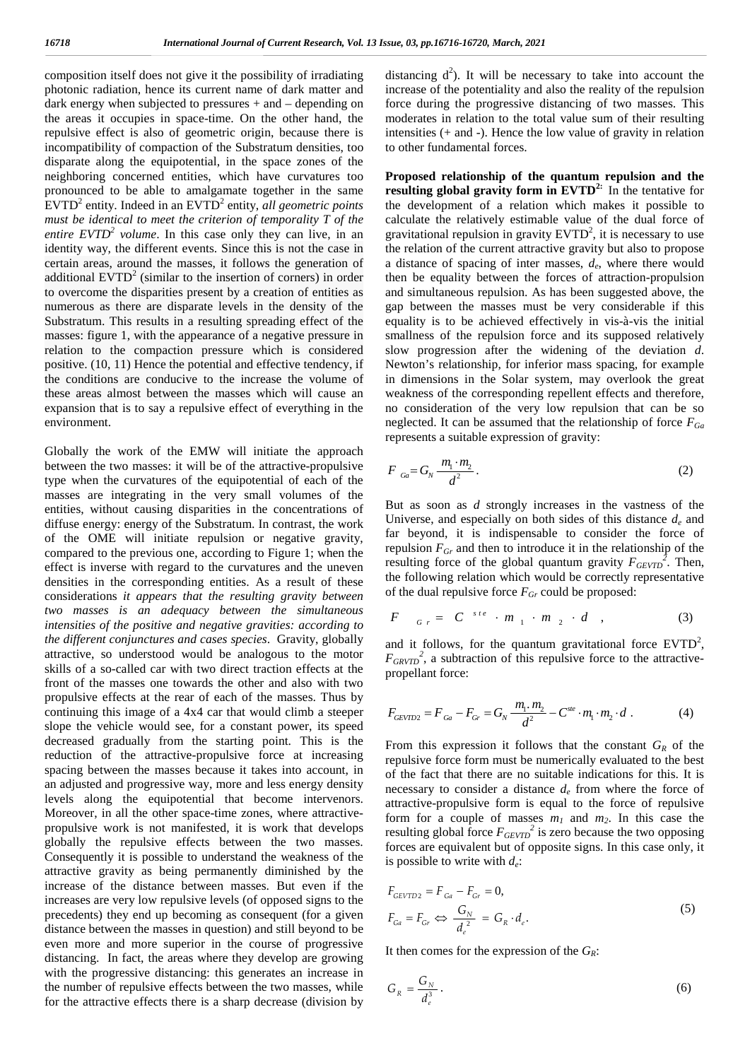composition itself does not give it the possibility of irradiating photonic radiation, hence its current name of dark matter and dark energy when subjected to pressures + and – depending on the areas it occupies in space-time. On the other hand, the repulsive effect is also of geometric origin, because there is incompatibility of compaction of the Substratum densities, too disparate along the equipotential, in the space zones of the neighboring concerned entities, which have curvatures too pronounced to be able to amalgamate together in the same EVTD<sup>2</sup> entity. Indeed in an EVTD<sup>2</sup> entity, *all geometric points must be identical to meet the criterion of temporality T of the entire EVTD<sup>2</sup> volume*. In this case only they can live, in an identity way, the different events. Since this is not the case in certain areas, around the masses, it follows the generation of additional  $EVTD<sup>2</sup>$  (similar to the insertion of corners) in order to overcome the disparities present by a creation of entities as numerous as there are disparate levels in the density of the Substratum. This results in a resulting spreading effect of the masses: figure 1, with the appearance of a negative pressure in relation to the compaction pressure which is considered positive. (10, 11) Hence the potential and effective tendency, if the conditions are conducive to the increase the volume of these areas almost between the masses which will cause an expansion that is to say a repulsive effect of everything in the environment.

Globally the work of the EMW will initiate the approach between the two masses: it will be of the attractive-propulsive type when the curvatures of the equipotential of each of the masses are integrating in the very small volumes of the entities, without causing disparities in the concentrations of diffuse energy: energy of the Substratum. In contrast, the work of the OME will initiate repulsion or negative gravity, compared to the previous one, according to Figure 1; when the effect is inverse with regard to the curvatures and the uneven densities in the corresponding entities. As a result of these the consideration which would be correctly reconsiderations it appears that the resulting gravity between of the dual repulsive force  $F_{Gr}$  could be proposed: considerations *it appears that the resulting gravity between two masses is an adequacy between the simultaneous intensities of the positive and negative gravities: according to the different conjunctures and cases species*. Gravity, globally attractive, so understood would be analogous to the motor skills of a so-called car with two direct traction effects at the propellant force: front of the masses one towards the other and also with two propulsive effects at the rear of each of the masses. Thus by continuing this image of a 4x4 car that would climb a steeper slope the vehicle would see, for a constant power, its speed decreased gradually from the starting point. This is the reduction of the attractive-propulsive force at increasing spacing between the masses because it takes into account, in an adjusted and progressive way, more and less energy density levels along the equipotential that become intervenors. Moreover, in all the other space-time zones, where attractive propulsive work is not manifested, it is work that develops globally the repulsive effects between the two masses. Consequently it is possible to understand the weakness of the attractive gravity as being permanently diminished by the increase of the distance between masses. But even if the increases are very low repulsive levels (of opposed signs to the precedents) they end up becoming as consequent (for a given distance between the masses in question) and still beyond to be even more and more superior in the course of progressive distancing. In fact, the areas where they develop are growing with the progressive distancing: this generates an increase in the number of repulsive effects between the two masses, while for the attractive effects there is a sharp decrease (division by

distancing  $d^2$ ). It will be necessary to take into account the increase of the potentiality and also the reality of the repulsion force during the progressive distancing of two masses. This moderates in relation to the total value sum of their resulting intensities (+ and -). Hence the low value of gravity in relation to other fundamental forces.

**Proposed relationship of the quantum repulsion and the resulting global gravity form in EVTD2:** In the tentative for the development of a relation which makes it possible to calculate the relatively estimable value of the dual force of gravitational repulsion in gravity  $EVTD<sup>2</sup>$ , it is necessary to use the relation of the current attractive gravity but also to propose a distance of spacing of inter masses, *d<sup>e</sup>* , where there would then be equality between the forces of attraction-propulsion and simultaneous repulsion. As has been suggested above, the gap between the masses must be very considerable if this equality is to be achieved effectively in vis-à-vis the initial smallness of the repulsion force and its supposed relatively slow progression after the widening of the deviation *d*. Newton's relationship, for inferior mass spacing, for example in dimensions in the Solar system, may overlook the great weakness of the corresponding repellent effects and therefore, no consideration of the very low repulsion that can be so neglected. It can be assumed that the relationship of force *FGa* and simultaneous repulsion. As has been sugge<br>gap between the masses must be very consequality is to be achieved effectively in vis-ismallness of the repulsion force and its suppslow progression after the widening of the **Proposed relationship of the quantum repulsion and the resulting global gravity form in EVTD<sup>2</sup>: In the tentative for the development of a relation which makes it possible to acalculate the relatively estimable value of** and simulation<br>application and simulations of papables and the dual repulsion of the duality is to be achieved effectively in vis-à-vis the initial<br>smallness of the repulsion force and its supposed relatively<br>Mow progress **Example 12** the masses match to the real of the dividend and the control of the dividend and the relation of the dividing of the dividind  $d$ .<br>Hewton's relationship, for inferior mass spacing, for example alternation d.

$$
F_{Ga} = G_N \frac{m_1 \cdot m_2}{d^2} \,. \tag{2}
$$

But as soon as *d* strongly increases in the vastness of the Universe, and especially on both sides of this distance  $d_e$  and far beyond, it is indispensable to consider the force of repulsion  $F_{Gr}$  and then to introduce it in the relationship of the resulting force of the global quantum gravity  $F_{GEVTD}^2$ . Then, the following relation which would be correctly representative far beyond, it is indispensable to consider the<br>repulsion  $F_{Gr}$  and then to introduce it in the relations<br>resulting force of the global quantum gravity  $F_{GEVI}$ <br>the following relation which would be correctly repre<br>of th ion  $F_{Gr}$  and then to introduce it in the relationship of the<br>ng force of the global quantum gravity  $F_{GEVID}^2$ . Then,<br>llowing relation which would be correctly representative<br>dual repulsive force  $F_{Gr}$  could be propose ss of the corresponding repellent effects and therefore,<br>sideration of the very low repulsion that can be so<br>ded. It can be assumed that the relationship of force  $F_{Ga}$ <br>this a suitable expression of gravity:<br> $\frac{\pi}{d}$ <br> $\$ *ste GEVTD Ga Gr N m m F F F G C m m d*

$$
F \quad G_r = C^{ste} \cdot m_1 \cdot m_2 \cdot d \quad , \tag{3}
$$

and it follows, for the quantum gravitational force  $EVTD^2$ ,  $F_{GRVTD}^2$ , a subtraction of this repulsive force to the attractive-

$$
F_{GEVTD2} = F_{Ga} - F_{Gr} = G_N \frac{m_1 \cdot m_2}{d^2} - C^{ste} \cdot m_1 \cdot m_2 \cdot d \tag{4}
$$

From this expression it follows that the constant  $G_R$  of the repulsive force form must be numerically evaluated to the best of the fact that there are no suitable indications for this. It is necessary to consider a distance *d<sup>e</sup>* from where the force of attractive-propulsive form is equal to the force of repulsive form for a couple of masses  $m_1$  and  $m_2$ . In this case the resulting global force *FGEVTD 2* is zero because the two opposing forces are equivalent but of opposite signs. In this case only, it is possible to write with *d<sup>e</sup>* : *GEVTD2*<br> *GEVTD2*<br> **CGEVTD2**<br> **CGEVTD2**<br> **CGEVTD2**<br> **CGEVTD2**<br> **CGEVTD2**<br> **CGEVER**<br> **CGEVER**<br> **CGEVER**<br> **CGEVER**<br> **CGEVER**<br> **CGEVTD2**<br> **GEVTD2**<br> **F** *Ga*  $-G_R$ <br> **CGEVTD2**<br> **CGEVTD2**<br> **CGEVTD2**<br> **F** *Ga*  $-G_R$ <br> **CGEVTD2**<br> rom this expression it follows that the constant  $G_R$  of the pulsive force form must be numerically evaluated to the best f the fact that there are no suitable indications for this. It is ecessary to consider a distance *example the convents and the in word of the dual repulsive force*  $F_{Gr}$  *could be proposed:*<br> *F*  $G_F = C^{-ste} \cdot m_1 \cdot m_2 \cdot d$ , (3)<br> *F*  $G_{F} = C^{-ste} \cdot m_1 \cdot m_2 \cdot d$ , (3)<br> *F*  $G_{GWTD}$ , a subtraction of this repulsive force to the *F*  $G_r = C^{3+\epsilon} \cdot m_1 \cdot m_2 \cdot d$ , (3)<br>
and it follows, for the quantum gravitational force EVTD<sup>2</sup>,<br>  $F_{GRTD2}$ <sup>2</sup>, a subtraction of this repulsive force to the attractive-<br>
propellant force:<br>  $F_{GETD2} = F_{Ga} - F_{Gr} = G_N \frac{m_1 \cdot m_2$ *g* oriet of the groom quantum gravity  $T_{ckyD}$ . Inclined<br> *p* is the groom of the gravity  $T_{ckyD}$ . Inclined<br>  $r = C^{-st/e}$   $\cdot m_1 \cdot m_2 \cdot d$ , (3)<br>
bilows, for the quantum gravitational force EVTD<sup>2</sup>,<br>
a subtraction of this re is equal repulsive force  $P_{Gr}$  could be proposed:<br>  $G_T = C^{-s+\epsilon} \cdot m_1 \cdot m_2 \cdot d$ , (3)<br>
it follows, for the quantum gravitational force EVTD<sup>2</sup>,<br>  $\frac{1}{2}$ , a subtraction of this repulsive force to the attractive-<br>  $m_2 = F_{Ga} - F$ 

$$
F_{GEVTD2} = F_{Ga} - F_{Gr} = 0,
$$
  
\n
$$
F_{Ga} = F_{Gr} \iff \frac{G_N}{d_e^2} = G_R \cdot d_e.
$$
\n(5)

It then comes for the expression of the *GR*:

$$
G_R = \frac{G_N}{d_e^3} \,. \tag{6}
$$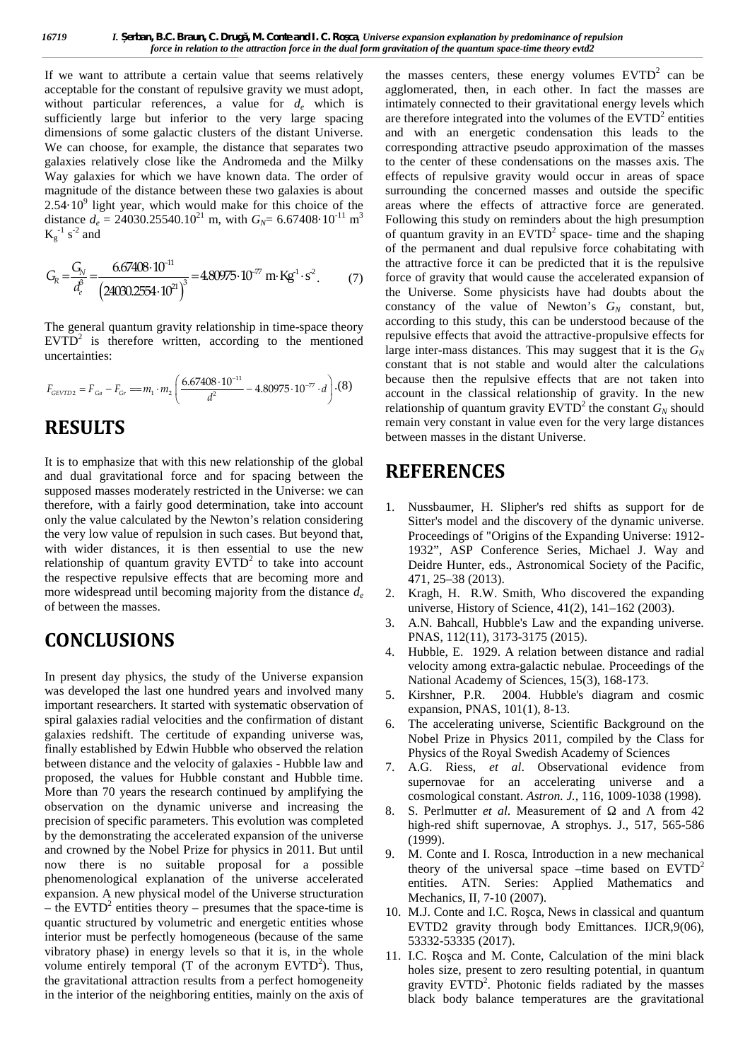If we want to attribute a certain value that seems relatively acceptable for the constant of repulsive gravity we must adopt, without particular references, a value for  $d_e$  which is sufficiently large but inferior to the very large spacing dimensions of some galactic clusters of the distant Universe. We can choose, for example, the distance that separates two galaxies relatively close like the Andromeda and the Milky Way galaxies for which we have known data. The order of magnitude of the distance between these two galaxies is about  $2.54 \cdot 10^9$  light year, which would make for this choice of the area distance  $d_e = 24030.25540.10^{21}$  m, with  $G_N = 6.67408 \cdot 10^{-11}$  m<sup>3</sup>  $K_g^{-1}$  s<sup>-2</sup> and cular references, a value for  $d_e$  which is intimate<br>trige but inferior to the very large spacing are there<br>some galactic clusters of the distant Universe. and wi<br>e, for example, the distance that separates two<br>vely close C. Drug, M. Conte and I. C. Ro ca, Universe expansion expansion expansion to the attraction force in the dual form gravitation of the q<br>in value that seems relatively the masses ce<br>pulsive gravity we must adopt, a value f

$$
G_R = \frac{G_N}{d_e^3} = \frac{6.67408 \cdot 10^{-11}}{\left(24030.2554 \cdot 10^{21}\right)^3} = 4.80975 \cdot 10^{-77} \text{ m} \cdot \text{Kg}^{-1} \cdot \text{s}^{-2}. \tag{7}
$$

The general quantum gravity relationship in time-space theory  $EVTD<sup>2</sup>$  is therefore written, according to the mentioned  $I<sup>1</sup>$ uncertainties:

$$
F_{GEVTD2} = F_{Ga} - F_{Gr} = m_1 \cdot m_2 \left( \frac{6.67408 \cdot 10^{-11}}{d^2} - 4.80975 \cdot 10^{-77} \cdot d \right) \cdot (8)
$$

### **RESULTS**

It is to emphasize that with this new relationship of the global and dual gravitational force and for spacing between the supposed masses moderately restricted in the Universe: we can therefore, with a fairly good determination, take into account only the value calculated by the Newton's relation considering the very low value of repulsion in such cases. But beyond that, with wider distances, it is then essential to use the new relationship of quantum gravity  $EVTD<sup>2</sup>$  to take into account the respective repulsive effects that are becoming more and more widespread until becoming majority from the distance  $d_e$  2. of between the masses.

## **CONCLUSIONS**

In present day physics, the study of the Universe expansion was developed the last one hundred years and involved many 5. Kirshner, P.R. important researchers. It started with systematic observation of spiral galaxies radial velocities and the confirmation of distant galaxies redshift. The certitude of expanding universe was, finally established by Edwin Hubble who observed the relation between distance and the velocity of galaxies - Hubble law and proposed, the values for Hubble constant and Hubble time. More than 70 years the research continued by amplifying the observation on the dynamic universe and increasing the precision of specific parameters. This evolution was completed by the demonstrating the accelerated expansion of the universe and crowned by the Nobel Prize for physics in 2011. But until now there is no suitable proposal for a possible phenomenological explanation of the universe accelerated expansion. A new physical model of the Universe structuration – the EVTD<sup>2</sup> entities theory – presumes that the space-time is quantic structured by volumetric and energetic entities whose interior must be perfectly homogeneous (because of the same vibratory phase) in energy levels so that it is, in the whole volume entirely temporal (T of the acronym  $EVTD<sup>2</sup>$ ). Thus, the gravitational attraction results from a perfect homogeneity in the interior of the neighboring entities, mainly on the axis of

 $3^3$  Following this study on reminders about the high presumption 9 1. *erhan, B.C. Braus, C. Drag, M. Conte and I. C. Ro ca, Universe expansion cyplantion by prodominance of repudion<br>
fore in relation to the autoction force in the dual form gravitation of the quantum space-time theory L. erhan, B.C. Braun, C. Drug, ,M. Conte and L.C. Re ca, Universe expansion explanation by perdominance of repulsion<br>force in relation to the direction force in the dual form growing the quantion of the quantity space of L. erban, B.C. Braun, C. Drug, M. Conte and L. C. Ro ca, Universe expansion explanation by predominant force in relation to the attraction force in the dual form gravitation of the quantum space-time theorem the constant* . (7) force of gravity that would cause the accelerated expansion of **EVALUAT SET AND THE CONDUCT INTERFEAT AND SET AND AND THE USE CONSULS TOWARD IN THE CONDITIC TREATER AND SET USE CONDUCT SURFACT CONDUCTS (<b>F** and the principal conserved to the principal properties of the experimental r want to attribute a certain value that seems relatively the masses centers, these energy volumes EVTD' can be<br>
by the form (the constant of repulsive gravity we must adopt a age form that the masses are<br>
ruly large but in  $\begin{bmatrix} 77 \cdot d \end{bmatrix}$ .(8) second in the classical relationship of gravity. In the new want to attribute a cretative value that scenaric value for the constant of repulsive gravity we must adopt, a galomerated, then, in each other. In fact the masses unit of the transcense, at value for  $d$ , which is intima the masses centers, these energy volumes  $EVTD<sup>2</sup>$  can be agglomerated, then, in each other. In fact the masses are intimately connected to their gravitational energy levels which are therefore integrated into the volumes of the  $EVTD<sup>2</sup>$  entities and with an energetic condensation this leads to the corresponding attractive pseudo approximation of the masses to the center of these condensations on the masses axis. The effects of repulsive gravity would occur in areas of space surrounding the concerned masses and outside the specific areas where the effects of attractive force are generated. of quantum gravity in an EVTD<sup>2</sup> space- time and the shaping of the permanent and dual repulsive force cohabitating with the attractive force it can be predicted that it is the repulsive the Universe. Some physicists have had doubts about the constancy of the value of Newton's  $G_N$  constant, but, according to this study, this can be understood because of the repulsive effects that avoid the attractive-propulsive effects for large inter-mass distances. This may suggest that it is the  $G_N$ constant that is not stable and would alter the calculations because then the repulsive effects that are not taken into relationship of quantum gravity  $EVTD^2$  the constant  $G_N$  should remain very constant in value even for the very large distances between masses in the distant Universe.

# **REFERENCES**

- 1. Nussbaumer, H. Slipher's red shifts as support for de Sitter's model and the discovery of the dynamic universe. Proceedings of "Origins of the Expanding Universe: 1912- 1932", ASP Conference Series, Michael J. Way and Deidre Hunter, eds., Astronomical Society of the Pacific, 471, 25–38 (2013).
- Kragh, H. R.W. Smith, Who discovered the expanding universe, History of Science, 41(2), 141–162 (2003).
- 3. A.N. Bahcall, Hubble's Law and the expanding universe. PNAS, 112(11), 3173-3175 (2015).
- 4. Hubble, E. 1929. A relation between distance and radial velocity among extra-galactic nebulae. Proceedings of the National Academy of Sciences, 15(3), 168-173.
- 2004. Hubble's diagram and cosmic expansion, PNAS, 101(1), 8-13.
- 6. The accelerating universe, Scientific Background on the Nobel Prize in Physics 2011, compiled by the Class for Physics of the Royal Swedish Academy of Sciences
- 7. A.G. Riess, *et al*. Observational evidence from supernovae for an accelerating universe and a cosmological constant. *Astron. J.,* 116, 1009-1038 (1998).
- 8. S. Perlmutter *et al*. Measurement of and from 42 high-red shift supernovae, A strophys. J., 517, 565-586 (1999).
- 9. M. Conte and I. Rosca, Introduction in a new mechanical theory of the universal space –time based on  $EVTD<sup>2</sup>$ entities. ATN. Series: Applied Mathematics and Mechanics, II, 7-10 (2007).
- 10. M.J. Conte and I.C. Ro ca, News in classical and quantum EVTD2 gravity through body Emittances. IJCR,9(06), 53332-53335 (2017).
- 11. I.C. Ro ca and M. Conte, Calculation of the mini black holes size, present to zero resulting potential, in quantum gravity EVTD<sup>2</sup>. Photonic fields radiated by the masses black body balance temperatures are the gravitational